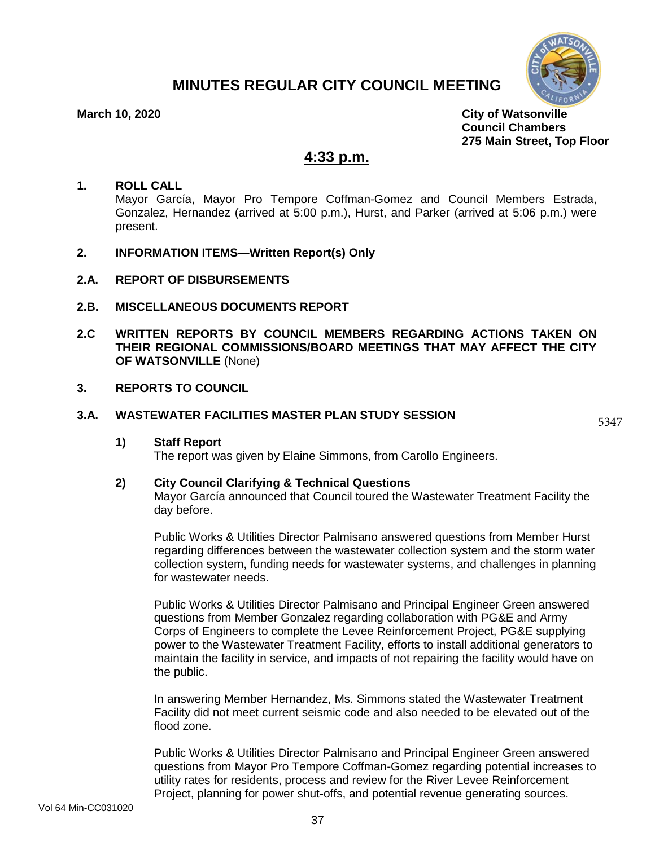# **MINUTES REGULAR CITY COUNCIL MEETING**



**March 10, 2020 City of Watsonville Council Chambers 275 Main Street, Top Floor**

# **4:33 p.m.**

### **1. ROLL CALL**

Mayor García, Mayor Pro Tempore Coffman-Gomez and Council Members Estrada, Gonzalez, Hernandez (arrived at 5:00 p.m.), Hurst, and Parker (arrived at 5:06 p.m.) were present.

- **2. INFORMATION ITEMS—Written Report(s) Only**
- **2.A. REPORT OF DISBURSEMENTS**
- **2.B. MISCELLANEOUS DOCUMENTS REPORT**
- **2.C WRITTEN REPORTS BY COUNCIL MEMBERS REGARDING ACTIONS TAKEN ON THEIR REGIONAL COMMISSIONS/BOARD MEETINGS THAT MAY AFFECT THE CITY OF WATSONVILLE** (None)
- **3. REPORTS TO COUNCIL**

#### **3.A. WASTEWATER FACILITIES MASTER PLAN STUDY SESSION**

5347

**1) Staff Report**

The report was given by Elaine Simmons, from Carollo Engineers.

### **2) City Council Clarifying & Technical Questions**

Mayor García announced that Council toured the Wastewater Treatment Facility the day before.

Public Works & Utilities Director Palmisano answered questions from Member Hurst regarding differences between the wastewater collection system and the storm water collection system, funding needs for wastewater systems, and challenges in planning for wastewater needs.

Public Works & Utilities Director Palmisano and Principal Engineer Green answered questions from Member Gonzalez regarding collaboration with PG&E and Army Corps of Engineers to complete the Levee Reinforcement Project, PG&E supplying power to the Wastewater Treatment Facility, efforts to install additional generators to maintain the facility in service, and impacts of not repairing the facility would have on the public.

In answering Member Hernandez, Ms. Simmons stated the Wastewater Treatment Facility did not meet current seismic code and also needed to be elevated out of the flood zone.

Public Works & Utilities Director Palmisano and Principal Engineer Green answered questions from Mayor Pro Tempore Coffman-Gomez regarding potential increases to utility rates for residents, process and review for the River Levee Reinforcement Project, planning for power shut-offs, and potential revenue generating sources.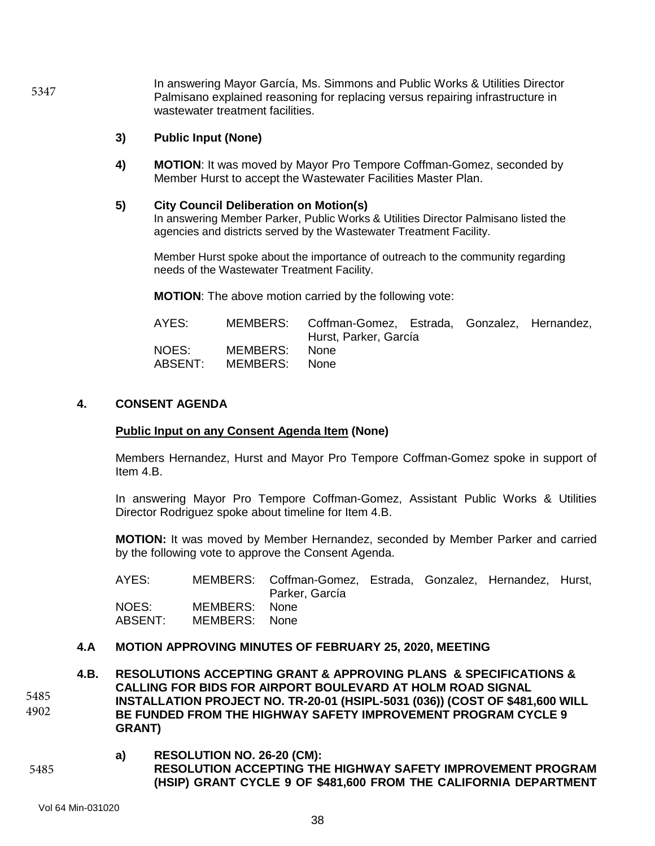In answering Mayor García, Ms. Simmons and Public Works & Utilities Director Palmisano explained reasoning for replacing versus repairing infrastructure in wastewater treatment facilities. 5347

### **3) Public Input (None)**

**4) MOTION**: It was moved by Mayor Pro Tempore Coffman-Gomez, seconded by Member Hurst to accept the Wastewater Facilities Master Plan.

#### **5) City Council Deliberation on Motion(s)**

In answering Member Parker, Public Works & Utilities Director Palmisano listed the agencies and districts served by the Wastewater Treatment Facility.

Member Hurst spoke about the importance of outreach to the community regarding needs of the Wastewater Treatment Facility.

**MOTION**: The above motion carried by the following vote:

| AYES:            |                           | MEMBERS: Coffman-Gomez, Estrada, Gonzalez, Hernandez,<br>Hurst, Parker, García |  |  |
|------------------|---------------------------|--------------------------------------------------------------------------------|--|--|
| NOES:<br>ABSENT: | MEMBERS:<br>MEMBERS: None | None                                                                           |  |  |

### **4. CONSENT AGENDA**

#### **Public Input on any Consent Agenda Item (None)**

Members Hernandez, Hurst and Mayor Pro Tempore Coffman-Gomez spoke in support of Item 4.B.

In answering Mayor Pro Tempore Coffman-Gomez, Assistant Public Works & Utilities Director Rodriguez spoke about timeline for Item 4.B.

**MOTION:** It was moved by Member Hernandez, seconded by Member Parker and carried by the following vote to approve the Consent Agenda.

| AYES:              |                                | MEMBERS: Coffman-Gomez, Estrada, Gonzalez, Hernandez, Hurst,<br>Parker, García |  |  |
|--------------------|--------------------------------|--------------------------------------------------------------------------------|--|--|
| NOES: I<br>ABSENT: | MEMBERS: None<br>MEMBERS: None |                                                                                |  |  |

#### **4.A MOTION APPROVING MINUTES OF FEBRUARY 25, 2020, MEETING**

**4.B. RESOLUTIONS ACCEPTING GRANT & APPROVING PLANS & SPECIFICATIONS & CALLING FOR BIDS FOR AIRPORT BOULEVARD AT HOLM ROAD SIGNAL INSTALLATION PROJECT NO. TR-20-01 (HSIPL-5031 (036)) (COST OF \$481,600 WILL BE FUNDED FROM THE HIGHWAY SAFETY IMPROVEMENT PROGRAM CYCLE 9 GRANT)** 5485 4902

### **a) RESOLUTION NO. 26-20 (CM): RESOLUTION ACCEPTING THE HIGHWAY SAFETY IMPROVEMENT PROGRAM (HSIP) GRANT CYCLE 9 OF \$481,600 FROM THE CALIFORNIA DEPARTMENT**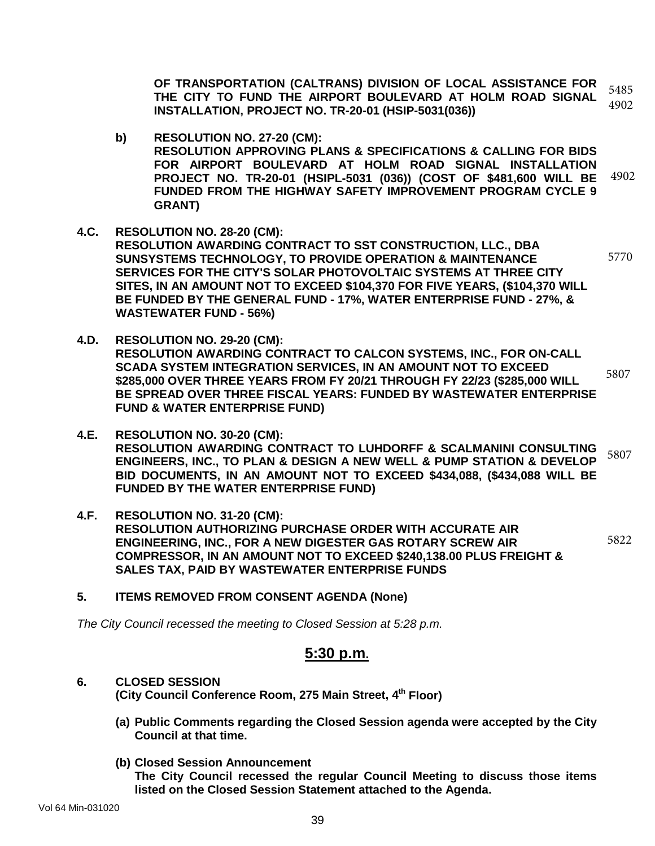**OF TRANSPORTATION (CALTRANS) DIVISION OF LOCAL ASSISTANCE FOR THE CITY TO FUND THE AIRPORT BOULEVARD AT HOLM ROAD SIGNAL INSTALLATION, PROJECT NO. TR-20-01 (HSIP-5031(036))**  5485 4902

- **b) RESOLUTION NO. 27-20 (CM): RESOLUTION APPROVING PLANS & SPECIFICATIONS & CALLING FOR BIDS FOR AIRPORT BOULEVARD AT HOLM ROAD SIGNAL INSTALLATION PROJECT NO. TR-20-01 (HSIPL-5031 (036)) (COST OF \$481,600 WILL BE FUNDED FROM THE HIGHWAY SAFETY IMPROVEMENT PROGRAM CYCLE 9 GRANT)** 4902
- **4.C. RESOLUTION NO. 28-20 (CM): RESOLUTION AWARDING CONTRACT TO SST CONSTRUCTION, LLC., DBA SUNSYSTEMS TECHNOLOGY, TO PROVIDE OPERATION & MAINTENANCE SERVICES FOR THE CITY'S SOLAR PHOTOVOLTAIC SYSTEMS AT THREE CITY SITES, IN AN AMOUNT NOT TO EXCEED \$104,370 FOR FIVE YEARS, (\$104,370 WILL BE FUNDED BY THE GENERAL FUND - 17%, WATER ENTERPRISE FUND - 27%, & WASTEWATER FUND - 56%)** 5770
- **4.D. RESOLUTION NO. 29-20 (CM): RESOLUTION AWARDING CONTRACT TO CALCON SYSTEMS, INC., FOR ON-CALL SCADA SYSTEM INTEGRATION SERVICES, IN AN AMOUNT NOT TO EXCEED \$285,000 OVER THREE YEARS FROM FY 20/21 THROUGH FY 22/23 (\$285,000 WILL BE SPREAD OVER THREE FISCAL YEARS: FUNDED BY WASTEWATER ENTERPRISE FUND & WATER ENTERPRISE FUND)**  5807
- **4.E. RESOLUTION NO. 30-20 (CM): RESOLUTION AWARDING CONTRACT TO LUHDORFF & SCALMANINI CONSULTING ENGINEERS, INC., TO PLAN & DESIGN A NEW WELL & PUMP STATION & DEVELOP BID DOCUMENTS, IN AN AMOUNT NOT TO EXCEED \$434,088, (\$434,088 WILL BE FUNDED BY THE WATER ENTERPRISE FUND)** 5807
- **4.F. RESOLUTION NO. 31-20 (CM): RESOLUTION AUTHORIZING PURCHASE ORDER WITH ACCURATE AIR ENGINEERING, INC., FOR A NEW DIGESTER GAS ROTARY SCREW AIR COMPRESSOR, IN AN AMOUNT NOT TO EXCEED \$240,138.00 PLUS FREIGHT & SALES TAX, PAID BY WASTEWATER ENTERPRISE FUNDS** 5822
- **5. ITEMS REMOVED FROM CONSENT AGENDA (None)**

*The City Council recessed the meeting to Closed Session at 5:28 p.m.*

# **5:30 p.m.**

- **6. CLOSED SESSION (City Council Conference Room, 275 Main Street, 4th Floor)**
	- **(a) Public Comments regarding the Closed Session agenda were accepted by the City Council at that time.**
	- **(b) Closed Session Announcement**

**The City Council recessed the regular Council Meeting to discuss those items listed on the Closed Session Statement attached to the Agenda.**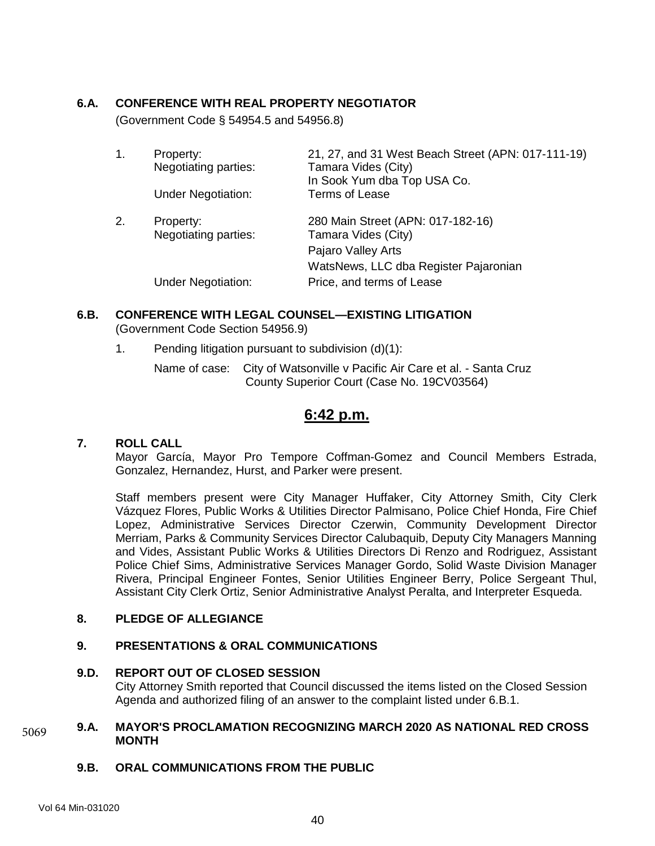## **6.A. CONFERENCE WITH REAL PROPERTY NEGOTIATOR**

(Government Code § 54954.5 and 54956.8)

| 1. | Property:<br>Negotiating parties: | 21, 27, and 31 West Beach Street (APN: 017-111-19)<br>Tamara Vides (City)<br>In Sook Yum dba Top USA Co. |
|----|-----------------------------------|----------------------------------------------------------------------------------------------------------|
|    | <b>Under Negotiation:</b>         | Terms of Lease                                                                                           |
| 2. | Property:<br>Negotiating parties: | 280 Main Street (APN: 017-182-16)<br>Tamara Vides (City)                                                 |
|    |                                   | Pajaro Valley Arts                                                                                       |
|    |                                   | WatsNews, LLC dba Register Pajaronian                                                                    |
|    | <b>Under Negotiation:</b>         | Price, and terms of Lease                                                                                |

#### **6.B. CONFERENCE WITH LEGAL COUNSEL—EXISTING LITIGATION** (Government Code Section 54956.9)

1. Pending litigation pursuant to subdivision (d)(1):

Name of case: City of Watsonville v Pacific Air Care et al. - Santa Cruz County Superior Court (Case No. 19CV03564)

# **6:42 p.m.**

#### **7. ROLL CALL**

Mayor García, Mayor Pro Tempore Coffman-Gomez and Council Members Estrada, Gonzalez, Hernandez, Hurst, and Parker were present.

Staff members present were City Manager Huffaker, City Attorney Smith, City Clerk Vázquez Flores, Public Works & Utilities Director Palmisano, Police Chief Honda, Fire Chief Lopez, Administrative Services Director Czerwin, Community Development Director Merriam, Parks & Community Services Director Calubaquib, Deputy City Managers Manning and Vides, Assistant Public Works & Utilities Directors Di Renzo and Rodriguez, Assistant Police Chief Sims, Administrative Services Manager Gordo, Solid Waste Division Manager Rivera, Principal Engineer Fontes, Senior Utilities Engineer Berry, Police Sergeant Thul, Assistant City Clerk Ortiz, Senior Administrative Analyst Peralta, and Interpreter Esqueda.

#### **8. PLEDGE OF ALLEGIANCE**

### **9. PRESENTATIONS & ORAL COMMUNICATIONS**

#### **9.D. REPORT OUT OF CLOSED SESSION**

City Attorney Smith reported that Council discussed the items listed on the Closed Session Agenda and authorized filing of an answer to the complaint listed under 6.B.1.

#### **9.A. MAYOR'S PROCLAMATION RECOGNIZING MARCH 2020 AS NATIONAL RED CROSS MONTH** 5069

#### **9.B. ORAL COMMUNICATIONS FROM THE PUBLIC**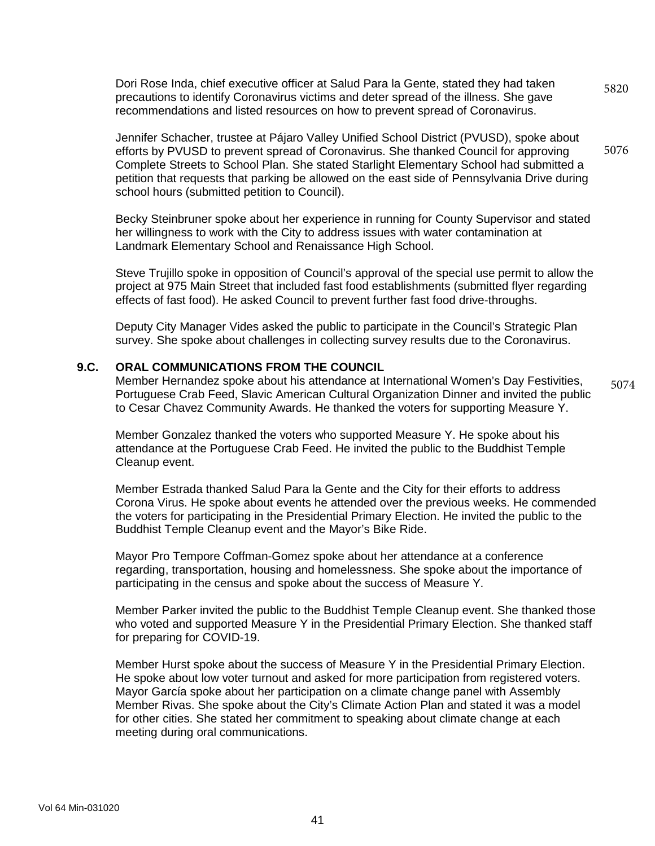Dori Rose Inda, chief executive officer at Salud Para la Gente, stated they had taken precautions to identify Coronavirus victims and deter spread of the illness. She gave recommendations and listed resources on how to prevent spread of Coronavirus. 5820

Jennifer Schacher, trustee at Pájaro Valley Unified School District (PVUSD), spoke about efforts by PVUSD to prevent spread of Coronavirus. She thanked Council for approving Complete Streets to School Plan. She stated Starlight Elementary School had submitted a petition that requests that parking be allowed on the east side of Pennsylvania Drive during school hours (submitted petition to Council). 5076

Becky Steinbruner spoke about her experience in running for County Supervisor and stated her willingness to work with the City to address issues with water contamination at Landmark Elementary School and Renaissance High School.

Steve Trujillo spoke in opposition of Council's approval of the special use permit to allow the project at 975 Main Street that included fast food establishments (submitted flyer regarding effects of fast food). He asked Council to prevent further fast food drive-throughs.

Deputy City Manager Vides asked the public to participate in the Council's Strategic Plan survey. She spoke about challenges in collecting survey results due to the Coronavirus.

#### **9.C. ORAL COMMUNICATIONS FROM THE COUNCIL**

Member Hernandez spoke about his attendance at International Women's Day Festivities, Portuguese Crab Feed, Slavic American Cultural Organization Dinner and invited the public to Cesar Chavez Community Awards. He thanked the voters for supporting Measure Y. 5074

Member Gonzalez thanked the voters who supported Measure Y. He spoke about his attendance at the Portuguese Crab Feed. He invited the public to the Buddhist Temple Cleanup event.

Member Estrada thanked Salud Para la Gente and the City for their efforts to address Corona Virus. He spoke about events he attended over the previous weeks. He commended the voters for participating in the Presidential Primary Election. He invited the public to the Buddhist Temple Cleanup event and the Mayor's Bike Ride.

Mayor Pro Tempore Coffman-Gomez spoke about her attendance at a conference regarding, transportation, housing and homelessness. She spoke about the importance of participating in the census and spoke about the success of Measure Y.

Member Parker invited the public to the Buddhist Temple Cleanup event. She thanked those who voted and supported Measure Y in the Presidential Primary Election. She thanked staff for preparing for COVID-19.

Member Hurst spoke about the success of Measure Y in the Presidential Primary Election. He spoke about low voter turnout and asked for more participation from registered voters. Mayor García spoke about her participation on a climate change panel with Assembly Member Rivas. She spoke about the City's Climate Action Plan and stated it was a model for other cities. She stated her commitment to speaking about climate change at each meeting during oral communications.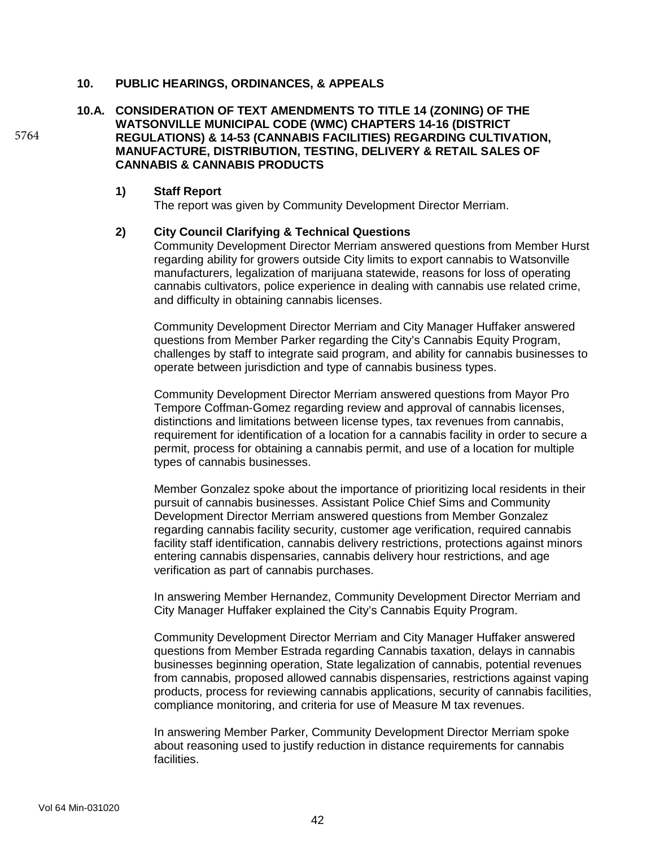### **10. PUBLIC HEARINGS, ORDINANCES, & APPEALS**

**10.A. CONSIDERATION OF TEXT AMENDMENTS TO TITLE 14 (ZONING) OF THE WATSONVILLE MUNICIPAL CODE (WMC) CHAPTERS 14-16 (DISTRICT REGULATIONS) & 14-53 (CANNABIS FACILITIES) REGARDING CULTIVATION, MANUFACTURE, DISTRIBUTION, TESTING, DELIVERY & RETAIL SALES OF CANNABIS & CANNABIS PRODUCTS**

#### **1) Staff Report**

The report was given by Community Development Director Merriam.

#### **2) City Council Clarifying & Technical Questions**

Community Development Director Merriam answered questions from Member Hurst regarding ability for growers outside City limits to export cannabis to Watsonville manufacturers, legalization of marijuana statewide, reasons for loss of operating cannabis cultivators, police experience in dealing with cannabis use related crime, and difficulty in obtaining cannabis licenses.

Community Development Director Merriam and City Manager Huffaker answered questions from Member Parker regarding the City's Cannabis Equity Program, challenges by staff to integrate said program, and ability for cannabis businesses to operate between jurisdiction and type of cannabis business types.

Community Development Director Merriam answered questions from Mayor Pro Tempore Coffman-Gomez regarding review and approval of cannabis licenses, distinctions and limitations between license types, tax revenues from cannabis, requirement for identification of a location for a cannabis facility in order to secure a permit, process for obtaining a cannabis permit, and use of a location for multiple types of cannabis businesses.

Member Gonzalez spoke about the importance of prioritizing local residents in their pursuit of cannabis businesses. Assistant Police Chief Sims and Community Development Director Merriam answered questions from Member Gonzalez regarding cannabis facility security, customer age verification, required cannabis facility staff identification, cannabis delivery restrictions, protections against minors entering cannabis dispensaries, cannabis delivery hour restrictions, and age verification as part of cannabis purchases.

In answering Member Hernandez, Community Development Director Merriam and City Manager Huffaker explained the City's Cannabis Equity Program.

Community Development Director Merriam and City Manager Huffaker answered questions from Member Estrada regarding Cannabis taxation, delays in cannabis businesses beginning operation, State legalization of cannabis, potential revenues from cannabis, proposed allowed cannabis dispensaries, restrictions against vaping products, process for reviewing cannabis applications, security of cannabis facilities, compliance monitoring, and criteria for use of Measure M tax revenues.

In answering Member Parker, Community Development Director Merriam spoke about reasoning used to justify reduction in distance requirements for cannabis facilities.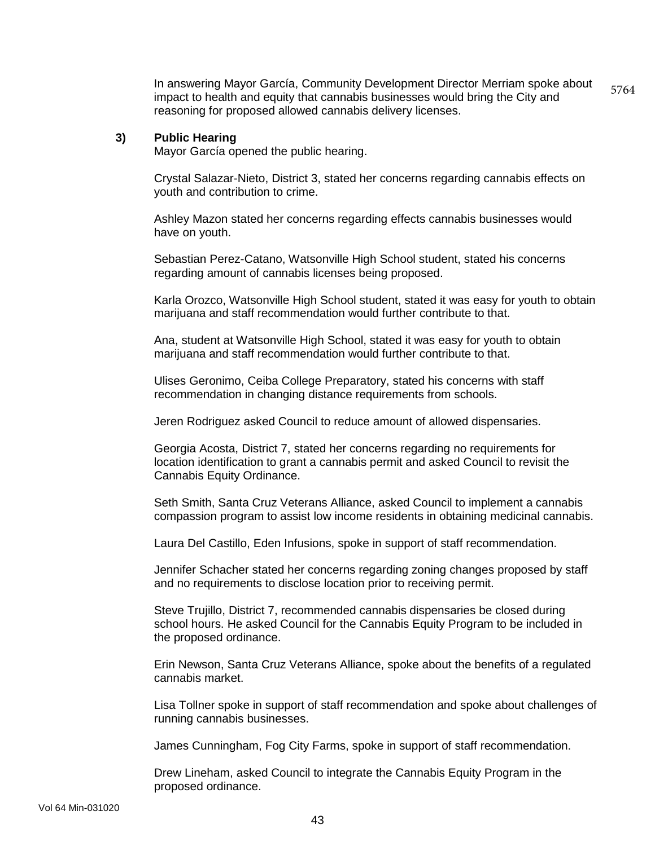In answering Mayor García, Community Development Director Merriam spoke about impact to health and equity that cannabis businesses would bring the City and reasoning for proposed allowed cannabis delivery licenses. 5764

#### **3) Public Hearing**

Mayor García opened the public hearing.

Crystal Salazar-Nieto, District 3, stated her concerns regarding cannabis effects on youth and contribution to crime.

Ashley Mazon stated her concerns regarding effects cannabis businesses would have on youth.

Sebastian Perez-Catano, Watsonville High School student, stated his concerns regarding amount of cannabis licenses being proposed.

Karla Orozco, Watsonville High School student, stated it was easy for youth to obtain marijuana and staff recommendation would further contribute to that.

Ana, student at Watsonville High School, stated it was easy for youth to obtain marijuana and staff recommendation would further contribute to that.

Ulises Geronimo, Ceiba College Preparatory, stated his concerns with staff recommendation in changing distance requirements from schools.

Jeren Rodriguez asked Council to reduce amount of allowed dispensaries.

Georgia Acosta, District 7, stated her concerns regarding no requirements for location identification to grant a cannabis permit and asked Council to revisit the Cannabis Equity Ordinance.

Seth Smith, Santa Cruz Veterans Alliance, asked Council to implement a cannabis compassion program to assist low income residents in obtaining medicinal cannabis.

Laura Del Castillo, Eden Infusions, spoke in support of staff recommendation.

Jennifer Schacher stated her concerns regarding zoning changes proposed by staff and no requirements to disclose location prior to receiving permit.

Steve Trujillo, District 7, recommended cannabis dispensaries be closed during school hours. He asked Council for the Cannabis Equity Program to be included in the proposed ordinance.

Erin Newson, Santa Cruz Veterans Alliance, spoke about the benefits of a regulated cannabis market.

Lisa Tollner spoke in support of staff recommendation and spoke about challenges of running cannabis businesses.

James Cunningham, Fog City Farms, spoke in support of staff recommendation.

Drew Lineham, asked Council to integrate the Cannabis Equity Program in the proposed ordinance.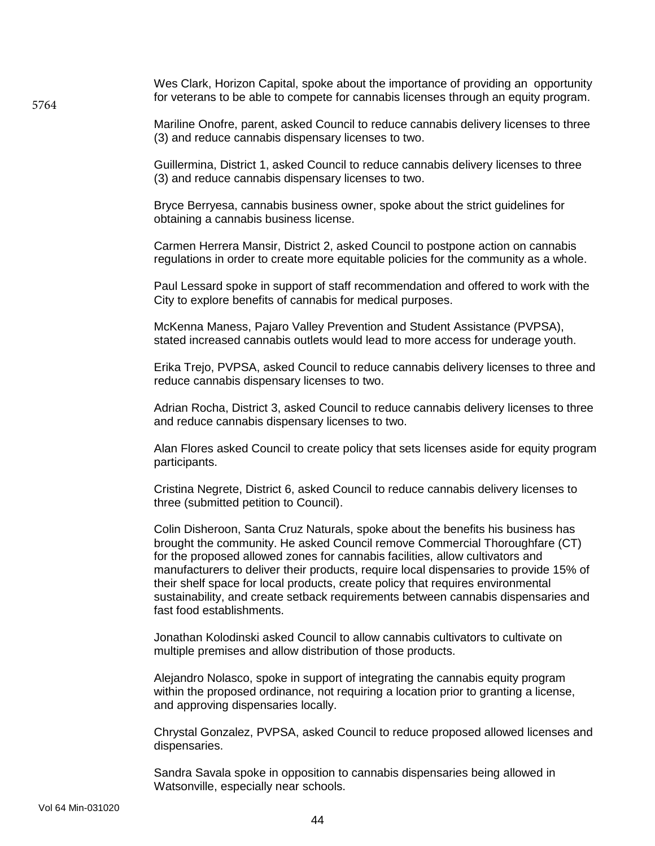Wes Clark, Horizon Capital, spoke about the importance of providing an opportunity for veterans to be able to compete for cannabis licenses through an equity program.

Mariline Onofre, parent, asked Council to reduce cannabis delivery licenses to three (3) and reduce cannabis dispensary licenses to two.

Guillermina, District 1, asked Council to reduce cannabis delivery licenses to three (3) and reduce cannabis dispensary licenses to two.

Bryce Berryesa, cannabis business owner, spoke about the strict guidelines for obtaining a cannabis business license.

Carmen Herrera Mansir, District 2, asked Council to postpone action on cannabis regulations in order to create more equitable policies for the community as a whole.

Paul Lessard spoke in support of staff recommendation and offered to work with the City to explore benefits of cannabis for medical purposes.

McKenna Maness, Pajaro Valley Prevention and Student Assistance (PVPSA), stated increased cannabis outlets would lead to more access for underage youth.

Erika Trejo, PVPSA, asked Council to reduce cannabis delivery licenses to three and reduce cannabis dispensary licenses to two.

Adrian Rocha, District 3, asked Council to reduce cannabis delivery licenses to three and reduce cannabis dispensary licenses to two.

Alan Flores asked Council to create policy that sets licenses aside for equity program participants.

Cristina Negrete, District 6, asked Council to reduce cannabis delivery licenses to three (submitted petition to Council).

Colin Disheroon, Santa Cruz Naturals, spoke about the benefits his business has brought the community. He asked Council remove Commercial Thoroughfare (CT) for the proposed allowed zones for cannabis facilities, allow cultivators and manufacturers to deliver their products, require local dispensaries to provide 15% of their shelf space for local products, create policy that requires environmental sustainability, and create setback requirements between cannabis dispensaries and fast food establishments.

Jonathan Kolodinski asked Council to allow cannabis cultivators to cultivate on multiple premises and allow distribution of those products.

Alejandro Nolasco, spoke in support of integrating the cannabis equity program within the proposed ordinance, not requiring a location prior to granting a license, and approving dispensaries locally.

Chrystal Gonzalez, PVPSA, asked Council to reduce proposed allowed licenses and dispensaries.

Sandra Savala spoke in opposition to cannabis dispensaries being allowed in Watsonville, especially near schools.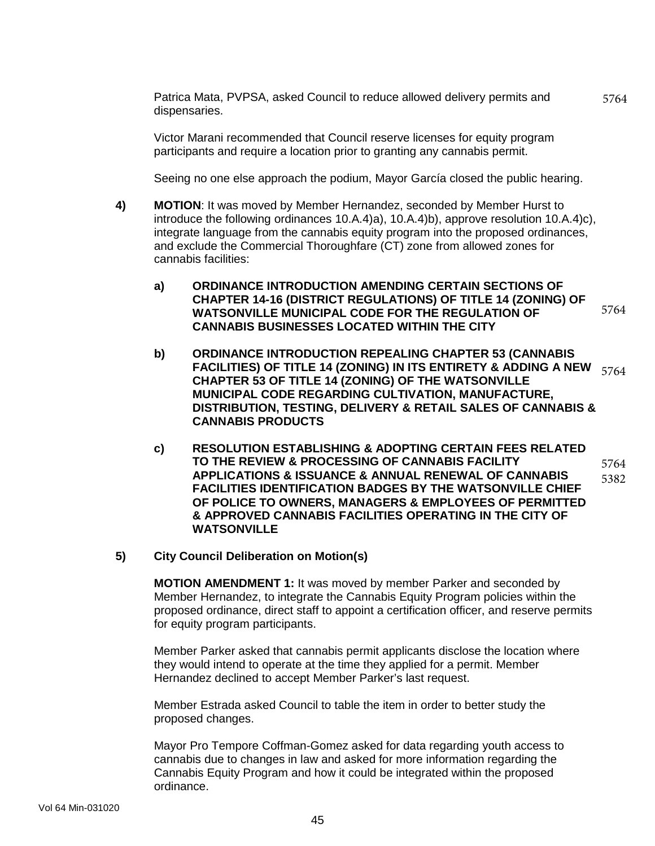Patrica Mata, PVPSA, asked Council to reduce allowed delivery permits and dispensaries.

5764

Victor Marani recommended that Council reserve licenses for equity program participants and require a location prior to granting any cannabis permit.

Seeing no one else approach the podium, Mayor García closed the public hearing.

- **4) MOTION**: It was moved by Member Hernandez, seconded by Member Hurst to introduce the following ordinances 10.A.4)a), 10.A.4)b), approve resolution 10.A.4)c), integrate language from the cannabis equity program into the proposed ordinances, and exclude the Commercial Thoroughfare (CT) zone from allowed zones for cannabis facilities:
	- **a) ORDINANCE INTRODUCTION AMENDING CERTAIN SECTIONS OF CHAPTER 14-16 (DISTRICT REGULATIONS) OF TITLE 14 (ZONING) OF WATSONVILLE MUNICIPAL CODE FOR THE REGULATION OF CANNABIS BUSINESSES LOCATED WITHIN THE CITY** 5764
	- **b) ORDINANCE INTRODUCTION REPEALING CHAPTER 53 (CANNABIS FACILITIES) OF TITLE 14 (ZONING) IN ITS ENTIRETY & ADDING A NEW CHAPTER 53 OF TITLE 14 (ZONING) OF THE WATSONVILLE MUNICIPAL CODE REGARDING CULTIVATION, MANUFACTURE, DISTRIBUTION, TESTING, DELIVERY & RETAIL SALES OF CANNABIS & CANNABIS PRODUCTS** 5764
	- **c) RESOLUTION ESTABLISHING & ADOPTING CERTAIN FEES RELATED TO THE REVIEW & PROCESSING OF CANNABIS FACILITY APPLICATIONS & ISSUANCE & ANNUAL RENEWAL OF CANNABIS FACILITIES IDENTIFICATION BADGES BY THE WATSONVILLE CHIEF OF POLICE TO OWNERS, MANAGERS & EMPLOYEES OF PERMITTED & APPROVED CANNABIS FACILITIES OPERATING IN THE CITY OF WATSONVILLE** 5764 5382

#### **5) City Council Deliberation on Motion(s)**

**MOTION AMENDMENT 1:** It was moved by member Parker and seconded by Member Hernandez, to integrate the Cannabis Equity Program policies within the proposed ordinance, direct staff to appoint a certification officer, and reserve permits for equity program participants.

Member Parker asked that cannabis permit applicants disclose the location where they would intend to operate at the time they applied for a permit. Member Hernandez declined to accept Member Parker's last request.

Member Estrada asked Council to table the item in order to better study the proposed changes.

Mayor Pro Tempore Coffman-Gomez asked for data regarding youth access to cannabis due to changes in law and asked for more information regarding the Cannabis Equity Program and how it could be integrated within the proposed ordinance.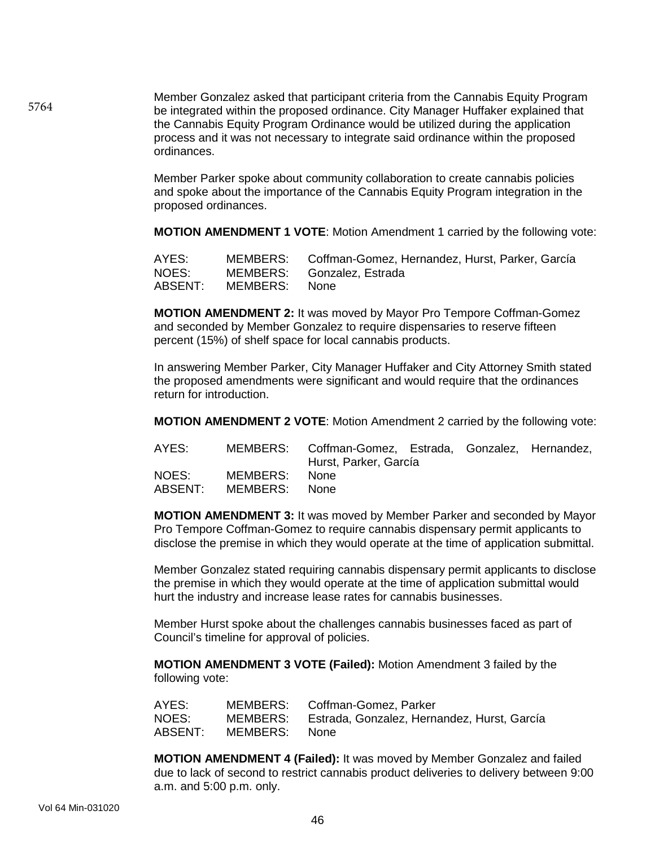Member Gonzalez asked that participant criteria from the Cannabis Equity Program be integrated within the proposed ordinance. City Manager Huffaker explained that the Cannabis Equity Program Ordinance would be utilized during the application process and it was not necessary to integrate said ordinance within the proposed ordinances.

Member Parker spoke about community collaboration to create cannabis policies and spoke about the importance of the Cannabis Equity Program integration in the proposed ordinances.

**MOTION AMENDMENT 1 VOTE**: Motion Amendment 1 carried by the following vote:

| AYES:   |               | MEMBERS: Coffman-Gomez, Hernandez, Hurst, Parker, García |
|---------|---------------|----------------------------------------------------------|
| NOES:   |               | MEMBERS: Gonzalez, Estrada                               |
| ABSENT: | MEMBERS: None |                                                          |

**MOTION AMENDMENT 2:** It was moved by Mayor Pro Tempore Coffman-Gomez and seconded by Member Gonzalez to require dispensaries to reserve fifteen percent (15%) of shelf space for local cannabis products.

In answering Member Parker, City Manager Huffaker and City Attorney Smith stated the proposed amendments were significant and would require that the ordinances return for introduction.

**MOTION AMENDMENT 2 VOTE**: Motion Amendment 2 carried by the following vote:

| AYES:   |               | MEMBERS: Coffman-Gomez, Estrada, Gonzalez, Hernandez,<br>Hurst, Parker, García |  |  |
|---------|---------------|--------------------------------------------------------------------------------|--|--|
|         |               |                                                                                |  |  |
| NOES:   | MEMBERS: None |                                                                                |  |  |
| ABSENT: | MEMBERS: None |                                                                                |  |  |

**MOTION AMENDMENT 3:** It was moved by Member Parker and seconded by Mayor Pro Tempore Coffman-Gomez to require cannabis dispensary permit applicants to disclose the premise in which they would operate at the time of application submittal.

Member Gonzalez stated requiring cannabis dispensary permit applicants to disclose the premise in which they would operate at the time of application submittal would hurt the industry and increase lease rates for cannabis businesses.

Member Hurst spoke about the challenges cannabis businesses faced as part of Council's timeline for approval of policies.

**MOTION AMENDMENT 3 VOTE (Failed):** Motion Amendment 3 failed by the following vote:

| AYES:   | MEMBERS: | Coffman-Gomez, Parker                       |
|---------|----------|---------------------------------------------|
| NOES:   | MEMBERS: | Estrada, Gonzalez, Hernandez, Hurst, García |
| ABSENT: | MEMBERS: | None.                                       |

**MOTION AMENDMENT 4 (Failed):** It was moved by Member Gonzalez and failed due to lack of second to restrict cannabis product deliveries to delivery between 9:00 a.m. and 5:00 p.m. only.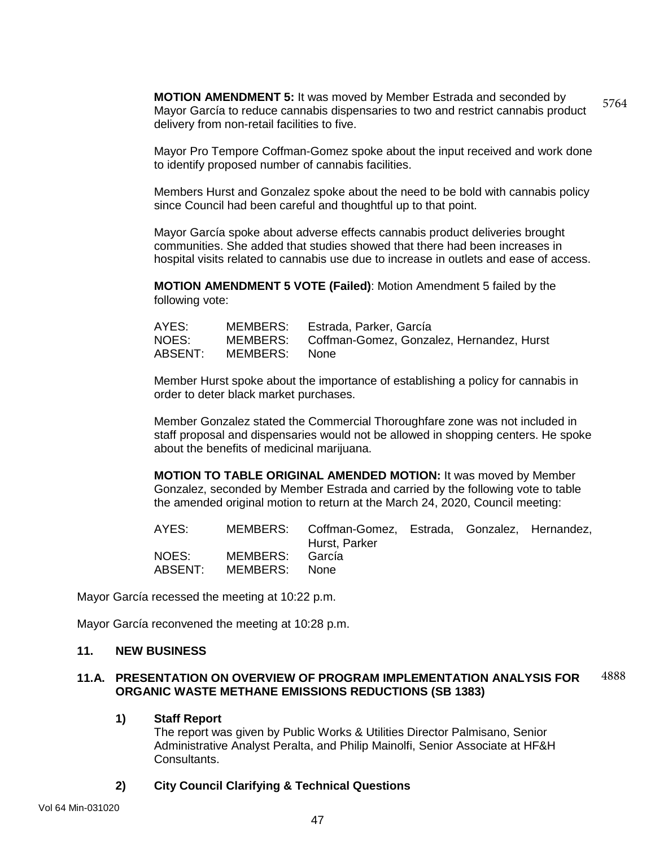**MOTION AMENDMENT 5:** It was moved by Member Estrada and seconded by Mayor García to reduce cannabis dispensaries to two and restrict cannabis product delivery from non-retail facilities to five. 5764

Mayor Pro Tempore Coffman-Gomez spoke about the input received and work done to identify proposed number of cannabis facilities.

Members Hurst and Gonzalez spoke about the need to be bold with cannabis policy since Council had been careful and thoughtful up to that point.

Mayor García spoke about adverse effects cannabis product deliveries brought communities. She added that studies showed that there had been increases in hospital visits related to cannabis use due to increase in outlets and ease of access.

**MOTION AMENDMENT 5 VOTE (Failed)**: Motion Amendment 5 failed by the following vote:

| AYES:   |          | MEMBERS: Estrada, Parker, García                   |
|---------|----------|----------------------------------------------------|
| NOES:   |          | MEMBERS: Coffman-Gomez, Gonzalez, Hernandez, Hurst |
| ABSENT: | MEMBERS: | – None                                             |

Member Hurst spoke about the importance of establishing a policy for cannabis in order to deter black market purchases.

Member Gonzalez stated the Commercial Thoroughfare zone was not included in staff proposal and dispensaries would not be allowed in shopping centers. He spoke about the benefits of medicinal marijuana.

**MOTION TO TABLE ORIGINAL AMENDED MOTION:** It was moved by Member Gonzalez, seconded by Member Estrada and carried by the following vote to table the amended original motion to return at the March 24, 2020, Council meeting:

| AYES: |                                          | MEMBERS: Coffman-Gomez, Estrada, Gonzalez, Hernandez,<br>Hurst, Parker |  |  |
|-------|------------------------------------------|------------------------------------------------------------------------|--|--|
| NOES: | MEMBERS: García<br>ABSENT: MEMBERS: None |                                                                        |  |  |

Mayor García recessed the meeting at 10:22 p.m.

Mayor García reconvened the meeting at 10:28 p.m.

#### **11. NEW BUSINESS**

#### **11.A. PRESENTATION ON OVERVIEW OF PROGRAM IMPLEMENTATION ANALYSIS FOR ORGANIC WASTE METHANE EMISSIONS REDUCTIONS (SB 1383)** 4888

#### **1) Staff Report**

The report was given by Public Works & Utilities Director Palmisano, Senior Administrative Analyst Peralta, and Philip Mainolfi, Senior Associate at HF&H Consultants.

### **2) City Council Clarifying & Technical Questions**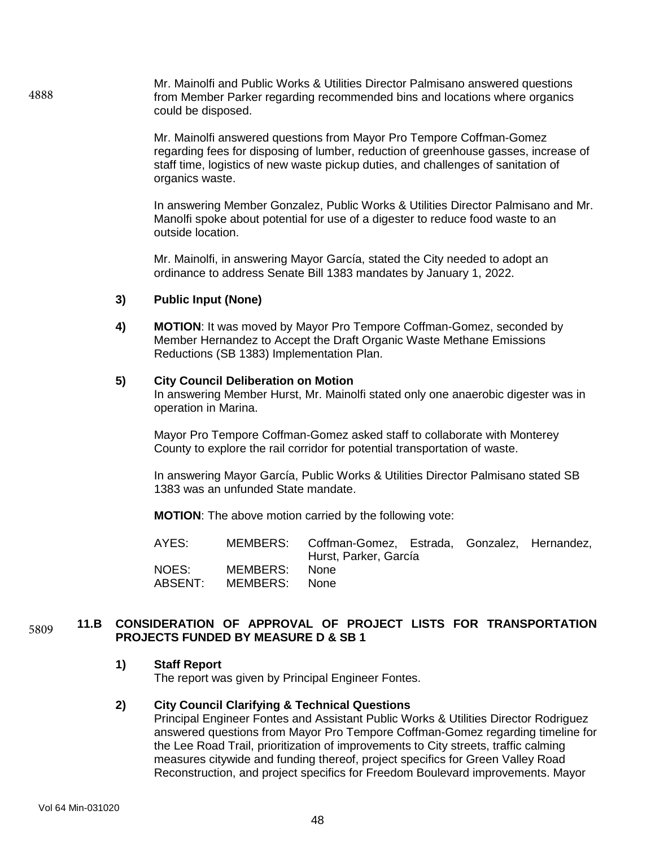Mr. Mainolfi and Public Works & Utilities Director Palmisano answered questions from Member Parker regarding recommended bins and locations where organics could be disposed.

> Mr. Mainolfi answered questions from Mayor Pro Tempore Coffman-Gomez regarding fees for disposing of lumber, reduction of greenhouse gasses, increase of staff time, logistics of new waste pickup duties, and challenges of sanitation of organics waste.

> In answering Member Gonzalez, Public Works & Utilities Director Palmisano and Mr. Manolfi spoke about potential for use of a digester to reduce food waste to an outside location.

Mr. Mainolfi, in answering Mayor García, stated the City needed to adopt an ordinance to address Senate Bill 1383 mandates by January 1, 2022.

#### **3) Public Input (None)**

**4) MOTION**: It was moved by Mayor Pro Tempore Coffman-Gomez, seconded by Member Hernandez to Accept the Draft Organic Waste Methane Emissions Reductions (SB 1383) Implementation Plan.

#### **5) City Council Deliberation on Motion**

In answering Member Hurst, Mr. Mainolfi stated only one anaerobic digester was in operation in Marina.

Mayor Pro Tempore Coffman-Gomez asked staff to collaborate with Monterey County to explore the rail corridor for potential transportation of waste.

In answering Mayor García, Public Works & Utilities Director Palmisano stated SB 1383 was an unfunded State mandate.

**MOTION**: The above motion carried by the following vote:

AYES: MEMBERS: Coffman-Gomez, Estrada, Gonzalez, Hernandez, Hurst, Parker, García NOES: MEMBERS: None<br>ABSENT: MEMBERS: None MEMBERS:

#### **11.B CONSIDERATION OF APPROVAL OF PROJECT LISTS FOR TRANSPORTATION PROJECTS FUNDED BY MEASURE D & SB 1** 5809

#### **1) Staff Report**

The report was given by Principal Engineer Fontes.

#### **2) City Council Clarifying & Technical Questions**

Principal Engineer Fontes and Assistant Public Works & Utilities Director Rodriguez answered questions from Mayor Pro Tempore Coffman-Gomez regarding timeline for the Lee Road Trail, prioritization of improvements to City streets, traffic calming measures citywide and funding thereof, project specifics for Green Valley Road Reconstruction, and project specifics for Freedom Boulevard improvements. Mayor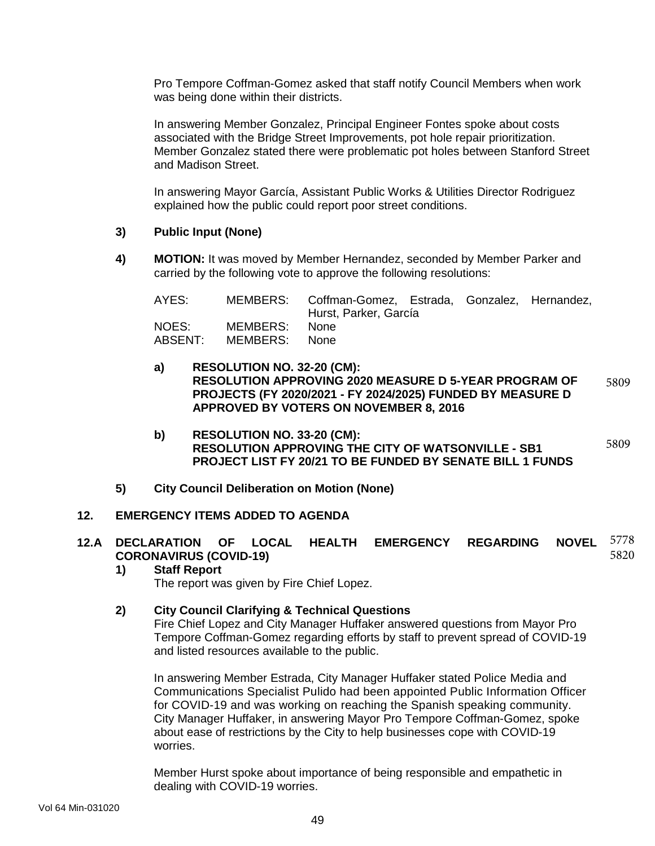Pro Tempore Coffman-Gomez asked that staff notify Council Members when work was being done within their districts.

In answering Member Gonzalez, Principal Engineer Fontes spoke about costs associated with the Bridge Street Improvements, pot hole repair prioritization. Member Gonzalez stated there were problematic pot holes between Stanford Street and Madison Street.

In answering Mayor García, Assistant Public Works & Utilities Director Rodriguez explained how the public could report poor street conditions.

### **3) Public Input (None)**

**4) MOTION:** It was moved by Member Hernandez, seconded by Member Parker and carried by the following vote to approve the following resolutions:

| AYES:              |                      | MEMBERS: Coffman-Gomez, Estrada, Gonzalez, Hernandez,<br>Hurst, Parker, García |  |  |
|--------------------|----------------------|--------------------------------------------------------------------------------|--|--|
| NOES: I<br>ABSENT: | MEMBERS:<br>MEMBERS: | None.<br>None.                                                                 |  |  |

- **a) RESOLUTION NO. 32-20 (CM): RESOLUTION APPROVING 2020 MEASURE D 5-YEAR PROGRAM OF PROJECTS (FY 2020/2021 - FY 2024/2025) FUNDED BY MEASURE D APPROVED BY VOTERS ON NOVEMBER 8, 2016** 5809
- **b) RESOLUTION NO. 33-20 (CM): RESOLUTION APPROVING THE CITY OF WATSONVILLE - SB1 PROJECT LIST FY 20/21 TO BE FUNDED BY SENATE BILL 1 FUNDS** 5809
- **5) City Council Deliberation on Motion (None)**

#### **12. EMERGENCY ITEMS ADDED TO AGENDA**

#### **12.A DECLARATION OF LOCAL HEALTH EMERGENCY REGARDING NOVEL CORONAVIRUS (COVID-19)** 5778 5820

#### **1) Staff Report**

The report was given by Fire Chief Lopez.

#### **2) City Council Clarifying & Technical Questions**

Fire Chief Lopez and City Manager Huffaker answered questions from Mayor Pro Tempore Coffman-Gomez regarding efforts by staff to prevent spread of COVID-19 and listed resources available to the public.

In answering Member Estrada, City Manager Huffaker stated Police Media and Communications Specialist Pulido had been appointed Public Information Officer for COVID-19 and was working on reaching the Spanish speaking community. City Manager Huffaker, in answering Mayor Pro Tempore Coffman-Gomez, spoke about ease of restrictions by the City to help businesses cope with COVID-19 worries.

Member Hurst spoke about importance of being responsible and empathetic in dealing with COVID-19 worries.